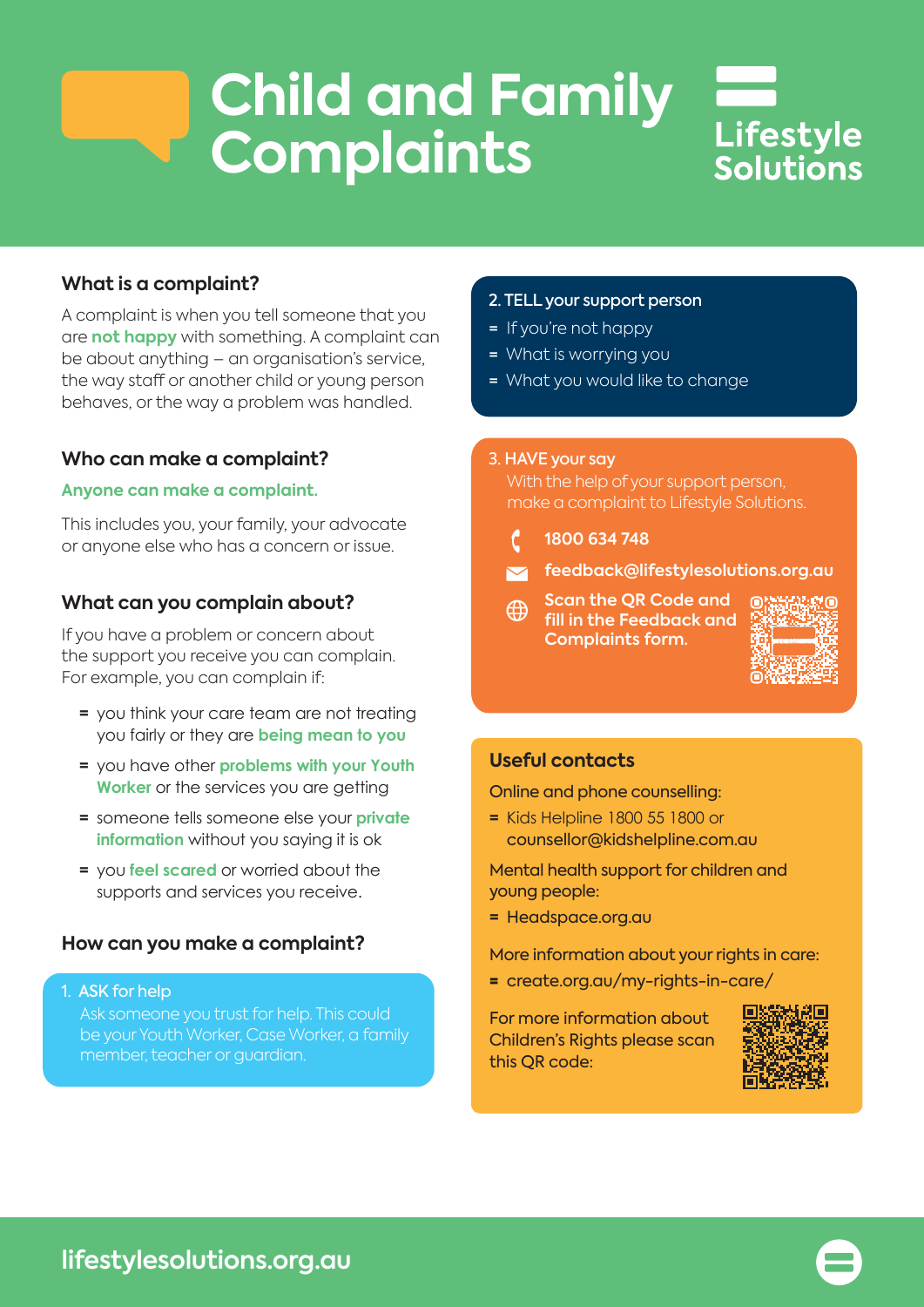# **Child and Family Complaints**



# **What is a complaint?**

A complaint is when you tell someone that you are **not happy** with something. A complaint can be about anything – an organisation's service, the way staff or another child or young person behaves, or the way a problem was handled.

### **Who can make a complaint?**

#### **Anyone can make a complaint.**

This includes you, your family, your advocate or anyone else who has a concern or issue.

## **What can you complain about?**

If you have a problem or concern about the support you receive you can complain. For example, you can complain if:

- **=** you think your care team are not treating you fairly or they are **being mean to you**
- **=** you have other **problems with your Youth Worker** or the services you are getting
- **=** someone tells someone else your **private information** without you saying it is ok
- **=** you **feel scared** or worried about the supports and services you receive.

## **How can you make a complaint?**

1. ASK for help

 Ask someone you trust for help. This could be your Youth Worker, Case Worker, a family member, teacher or guardian.

#### 2. TELL your support person

- = If you're not happy
- = What is worrying you
- = What you would like to change

#### 3. HAVE your say

 With the help of your support person, make a complaint to Lifestyle Solutions.

- **1800 634 748**
- **feedback@lifestylesolutions.org.au**
- **Scan the QR Code and**  ⊕ **fill in the Feedback and Complaints form.**



#### **Useful contacts**

Online and phone counselling:

**=** Kids Helpline 1800 55 1800 or counsellor@kidshelpline.com.au

Mental health support for children and young people:

**=** Headspace.org.au

More information about your rights in care:

= create.org.au/my-rights-in-care/

For more information about Children's Rights please scan this QR code: